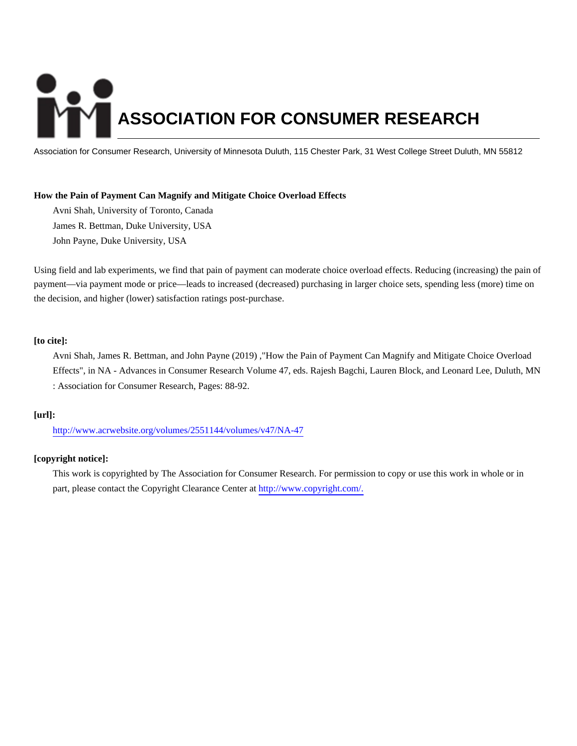# **ASSOCIATION FOR CONSUMER RESEARCH**

Association for Consumer Research, University of Minnesota Duluth, 115 Chester Park, 31 West College Street Duluth, MN 55812

# **How the Pain of Payment Can Magnify and Mitigate Choice Overload Effects**

Avni Shah, University of Toronto, Canada James R. Bettman, Duke University, USA John Payne, Duke University, USA

Using field and lab experiments, we find that pain of payment can moderate choice overload effects. Reducing (increasing) the pain of payment—via payment mode or price—leads to increased (decreased) purchasing in larger choice sets, spending less (more) time on the decision, and higher (lower) satisfaction ratings post-purchase.

# **[to cite]:**

Avni Shah, James R. Bettman, and John Payne (2019) ,"How the Pain of Payment Can Magnify and Mitigate Choice Overload Effects", in NA - Advances in Consumer Research Volume 47, eds. Rajesh Bagchi, Lauren Block, and Leonard Lee, Duluth, MN : Association for Consumer Research, Pages: 88-92.

# **[url]:**

<http://www.acrwebsite.org/volumes/2551144/volumes/v47/NA-47>

# **[copyright notice]:**

This work is copyrighted by The Association for Consumer Research. For permission to copy or use this work in whole or in part, please contact the Copyright Clearance Center at [http://www.copyright.com/.](http://www.copyright.com/)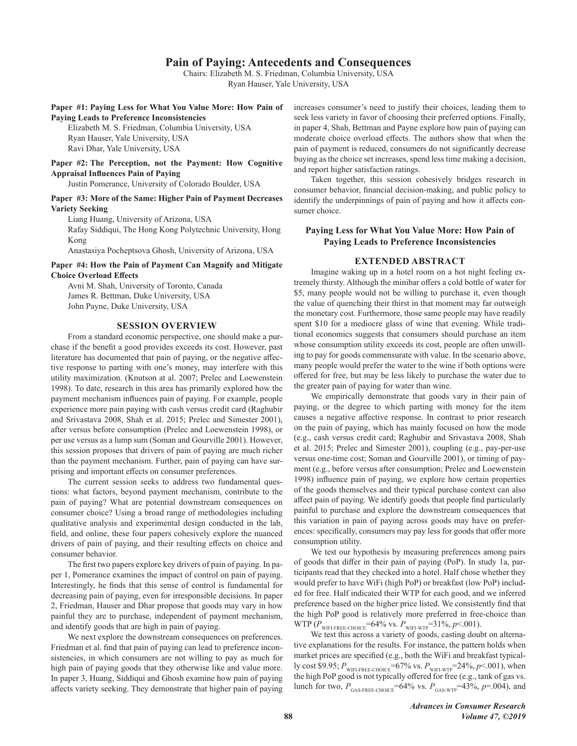# **Pain of Paying: Antecedents and Consequences**

Chairs: Elizabeth M. S. Friedman, Columbia University, USA Ryan Hauser, Yale University, USA

Paper #1: Paying Less for What You Value More: How Pain of **Paving Leads to Preference Inconsistencies** 

Elizabeth M. S. Friedman, Columbia University, USA Ryan Hauser, Yale University, USA Ravi Dhar, Yale University, USA

Paper #2: The Perception, not the Payment: How Cognitive **Appraisal Influences Pain of Paying** 

Justin Pomerance, University of Colorado Boulder, USA

Paper #3: More of the Same: Higher Pain of Payment Decreases **Variety Seeking** 

Liang Huang, University of Arizona, USA Rafay Siddiqui, The Hong Kong Polytechnic University, Hong Kong

Anastasiya Pocheptsova Ghosh, University of Arizona, USA

Paper #4: How the Pain of Payment Can Magnify and Mitigate **Choice Overload Effects** 

Avni M. Shah, University of Toronto, Canada James R. Bettman, Duke University, USA John Payne, Duke University, USA

#### **SESSION OVERVIEW**

From a standard economic perspective, one should make a purchase if the benefit a good provides exceeds its cost. However, past literature has documented that pain of paying, or the negative affective response to parting with one's money, may interfere with this utility maximization. (Knutson at al. 2007; Prelec and Loewenstein 1998). To date, research in this area has primarily explored how the payment mechanism influences pain of paying. For example, people experience more pain paying with cash versus credit card (Raghubir and Srivastava 2008, Shah et al. 2015; Prelec and Simester 2001), after versus before consumption (Prelec and Loewenstein 1998), or per use versus as a lump sum (Soman and Gourville 2001). However, this session proposes that drivers of pain of paying are much richer than the payment mechanism. Further, pain of paying can have surprising and important effects on consumer preferences.

The current session seeks to address two fundamental questions: what factors, beyond payment mechanism, contribute to the pain of paying? What are potential downstream consequences on consumer choice? Using a broad range of methodologies including qualitative analysis and experimental design conducted in the lab, field, and online, these four papers cohesively explore the nuanced drivers of pain of paying, and their resulting effects on choice and consumer behavior.

The first two papers explore key drivers of pain of paying. In paper 1, Pomerance examines the impact of control on pain of paying. Interestingly, he finds that this sense of control is fundamental for decreasing pain of paying, even for irresponsible decisions. In paper 2, Friedman, Hauser and Dhar propose that goods may vary in how painful they are to purchase, independent of payment mechanism, and identify goods that are high in pain of paying.

We next explore the downstream consequences on preferences. Friedman et al. find that pain of paying can lead to preference inconsistencies, in which consumers are not willing to pay as much for high pain of paying goods that they otherwise like and value more. In paper 3, Huang, Siddiqui and Ghosh examine how pain of paying affects variety seeking. They demonstrate that higher pain of paying increases consumer's need to justify their choices, leading them to seek less variety in favor of choosing their preferred options. Finally, in paper 4, Shah, Bettman and Payne explore how pain of paying can moderate choice overload effects. The authors show that when the pain of payment is reduced, consumers do not significantly decrease buying as the choice set increases, spend less time making a decision, and report higher satisfaction ratings.

Taken together, this session cohesively bridges research in consumer behavior, financial decision-making, and public policy to identify the underpinnings of pain of paying and how it affects consumer choice.

#### Paying Less for What You Value More: How Pain of **Paving Leads to Preference Inconsistencies**

#### **EXTENDED ABSTRACT**

Imagine waking up in a hotel room on a hot night feeling extremely thirsty. Although the minibar offers a cold bottle of water for \$5, many people would not be willing to purchase it, even though the value of quenching their thirst in that moment may far outweigh the monetary cost. Furthermore, those same people may have readily spent \$10 for a mediocre glass of wine that evening. While traditional economics suggests that consumers should purchase an item whose consumption utility exceeds its cost, people are often unwilling to pay for goods commensurate with value. In the scenario above, many people would prefer the water to the wine if both options were offered for free, but may be less likely to purchase the water due to the greater pain of paying for water than wine.

We empirically demonstrate that goods vary in their pain of paying, or the degree to which parting with money for the item causes a negative affective response. In contrast to prior research on the pain of paying, which has mainly focused on how the mode (e.g., cash versus credit card; Raghubir and Srivastava 2008, Shah et al. 2015; Prelec and Simester 2001), coupling (e.g., pay-per-use versus one-time cost; Soman and Gourville 2001), or timing of payment (e.g., before versus after consumption; Prelec and Loewenstein 1998) influence pain of paying, we explore how certain properties of the goods themselves and their typical purchase context can also affect pain of paying. We identify goods that people find particularly painful to purchase and explore the downstream consequences that this variation in pain of paying across goods may have on preferences: specifically, consumers may pay less for goods that offer more consumption utility.

We test our hypothesis by measuring preferences among pairs of goods that differ in their pain of paying (PoP). In study 1a, participants read that they checked into a hotel. Half chose whether they would prefer to have WiFi (high PoP) or breakfast (low PoP) included for free. Half indicated their WTP for each good, and we inferred preference based on the higher price listed. We consistently find that the high PoP good is relatively more preferred in free-choice than

WTP  $(P_{\text{WIFl-FREE-CHOICE}}=64\%$  vs.  $P_{\text{WIFl-WTP}}=31\%, p<.001$ ).<br>We test this across a variety of goods, casting doubt on alternative explanations for the results. For instance, the pattern holds when market prices are specified (e.g., both the WiFi and breakfast typically cost \$9.95;  $P_{\text{WFI-FREE-CHOICE}}$ =67% vs.  $P_{\text{WFI-WTP}}$ =24%,  $p$ <.001), when the high PoP good is not typically offered for free (e.g., tank of gas vs. lunch for two,  $P_{\text{GAS-FREE-CHOICE}} = 64\%$  vs.  $P_{\text{GAS-WTP}} = 43\%, p = .004$ , and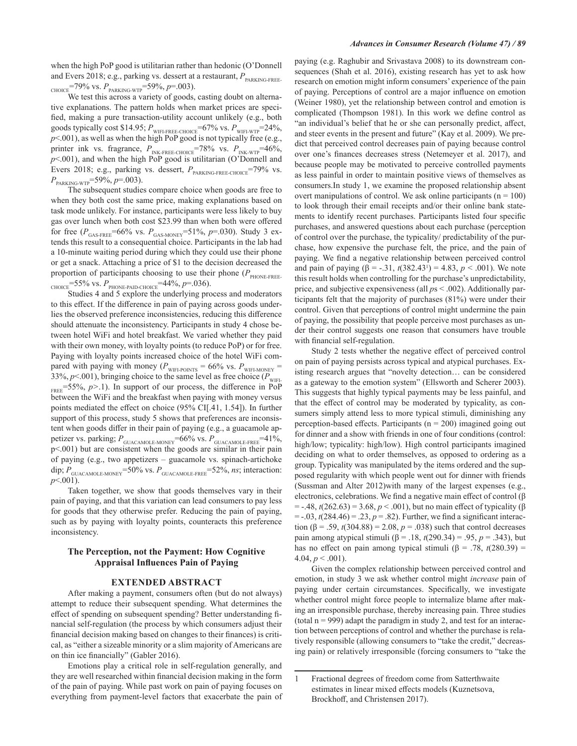when the high PoP good is utilitarian rather than hedonic (O'Donnell and Evers 2018; e.g., parking vs. dessert at a restaurant,  $P_{\tiny \textrm{PARKING-FREE-}}$ CHOICE<sup>=79%</sup> vs.  $P_{\text{PARKING-WTP}}$ =59%, p=.003).

We test this across a variety of goods, casting doubt on alternative explanations. The pattern holds when market prices are specified, making a pure transaction-utility account unlikely (e.g., both goods typically cost \$14.95;  $P_{\textsc{with-free-choice}}$  =67% vs.  $P_{\textsc{with-write}}$  =24%,  $p<.001$ ), as well as when the high PoP good is not typically free (e.g., printer ink vs. fragrance,  $P_{INK\text{-}RREE\text{-}CHOICE}$ =78% vs.  $P_{INK\text{-}WTP}$ =46%,  $p<.001$ ), and when the high PoP good is utilitarian (O'Donnell and Evers 2018; e.g., parking vs. dessert,  $P_{\text{PARKING-FREE-CHOICE}} = 79\%$  vs.  $P_{\text{PARKNG-WTP}} = 59\%, p = .003$ .

The subsequent studies compare choice when goods are free to when they both cost the same price, making explanations based on task mode unlikely. For instance, participants were less likely to buy gas over lunch when both cost \$23.99 than when both were offered for free ( $P_{\text{GAS-FREE}}$ =66% vs.  $P_{\text{GAS-MONEY}}$ =51%,  $p$ =.030). Study 3 extends this result to a consequential choice. Participants in the lab had a 10-minute waiting period during which they could use their phone or get a snack. Attaching a price of \$1 to the decision decreased the proportion of participants choosing to use their phone ( $P_{\text{PHONE-FREF}}$ CHOICE = 55% VS.  $P_{\text{PHONE-PAID-CHOICE}} = 44\%, p = .036$ .

Studies 4 and 5 explore the underlying process and moderators to this effect. If the difference in pain of paying across goods underlies the observed preference inconsistencies, reducing this difference should attenuate the inconsistency. Participants in study 4 chose between hotel WiFi and hotel breakfast. We varied whether they paid with their own money, with loyalty points (to reduce PoP) or for free. Paying with loyalty points increased choice of the hotel WiFi compared with paying with money ( $P_{\text{WIF-POINTS}} = 66\%$  vs.  $P_{\text{WIF-MONET}} = 33\%, p < .001$ ), bringing choice to the same level as free choice ( $P_{\text{WIF-}}$  $_{\text{FREE}}$ =55%, p>.1). In support of our process, the difference in PoP between the WiFi and the breakfast when paying with money versus points mediated the effect on choice (95% CI[.41, 1.54]). In further support of this process, study 5 shows that preferences are inconsistent when goods differ in their pain of paying (e.g., a guacamole appetizer vs. parking;  $P_{\text{GUACAMOLE-MONEY}} = 66\%$  vs.  $P_{\text{GUACAMOLE-FREE}} = 41\%$ , p<.001) but are consistent when the goods are similar in their pain of paying (e.g., two appetizers - guacamole vs. spinach-artichoke dip;  $P_{\text{GUACAMOLE-MONEY}}$ =50% vs.  $P_{\text{GUACAMOLE-FREE}}$ =52%, ns; interaction:  $p<0.001$ ).

Taken together, we show that goods themselves vary in their pain of paying, and that this variation can lead consumers to pay less for goods that they otherwise prefer. Reducing the pain of paying, such as by paying with loyalty points, counteracts this preference inconsistency.

#### The Perception, not the Payment: How Cognitive **Appraisal Influences Pain of Paying**

#### **EXTENDED ABSTRACT**

After making a payment, consumers often (but do not always) attempt to reduce their subsequent spending. What determines the effect of spending on subsequent spending? Better understanding financial self-regulation (the process by which consumers adjust their financial decision making based on changes to their finances) is critical, as "either a sizeable minority or a slim majority of Americans are on thin ice financially" (Gabler 2016).

Emotions play a critical role in self-regulation generally, and they are well researched within financial decision making in the form of the pain of paying. While past work on pain of paying focuses on everything from payment-level factors that exacerbate the pain of paying (e.g. Raghubir and Srivastava 2008) to its downstream consequences (Shah et al. 2016), existing research has yet to ask how research on emotion might inform consumers' experience of the pain of paying. Perceptions of control are a major influence on emotion (Weiner 1980), yet the relationship between control and emotion is complicated (Thompson 1981). In this work we define control as "an individual's belief that he or she can personally predict, affect, and steer events in the present and future" (Kay et al. 2009). We predict that perceived control decreases pain of paying because control over one's finances decreases stress (Netemeyer et al. 2017), and because people may be motivated to perceive controlled payments as less painful in order to maintain positive views of themselves as consumers. In study 1, we examine the proposed relationship absent overt manipulations of control. We ask online participants ( $n = 100$ ) to look through their email receipts and/or their online bank statements to identify recent purchases. Participants listed four specific purchases, and answered questions about each purchase (perception of control over the purchase, the typicality/ predictability of the purchase, how expensive the purchase felt, the price, and the pain of paying. We find a negative relationship between perceived control and pain of paying  $(\beta = -.31, t(382.43^{t}) = 4.83, p < .001)$ . We note this result holds when controlling for the purchase's unpredictability. price, and subjective expensiveness (all  $ps < .002$ ). Additionally participants felt that the majority of purchases (81%) were under their control. Given that perceptions of control might undermine the pain of paying, the possibility that people perceive most purchases as under their control suggests one reason that consumers have trouble with financial self-regulation.

Study 2 tests whether the negative effect of perceived control on pain of paying persists across typical and atypical purchases. Existing research argues that "novelty detection... can be considered as a gateway to the emotion system" (Ellsworth and Scherer 2003). This suggests that highly typical payments may be less painful, and that the effect of control may be moderated by typicality, as consumers simply attend less to more typical stimuli, diminishing any perception-based effects. Participants ( $n = 200$ ) imagined going out for dinner and a show with friends in one of four conditions (control: high/low; typicality: high/low). High control participants imagined deciding on what to order themselves, as opposed to ordering as a group. Typicality was manipulated by the items ordered and the supposed regularity with which people went out for dinner with friends (Sussman and Alter 2012) with many of the largest expenses (e.g., electronics, celebrations. We find a negative main effect of control  $(\beta$ = -.48,  $t(262.63)$  = 3.68,  $p < .001$ ), but no main effect of typicality (β  $=$  -.03,  $t(284.46) = .23$ ,  $p = .82$ ). Further, we find a significant interaction ( $\beta$  = .59, t(304.88) = 2.08, p = .038) such that control decreases pain among atypical stimuli (β = .18,  $t(290.34)$  = .95,  $p = .343$ ), but has no effect on pain among typical stimuli ( $\beta$  = .78,  $t$ (280.39) = 4.04,  $p < .001$ ).

Given the complex relationship between perceived control and emotion, in study 3 we ask whether control might *increase* pain of paying under certain circumstances. Specifically, we investigate whether control might force people to internalize blame after making an irresponsible purchase, thereby increasing pain. Three studies (total  $n = 999$ ) adapt the paradigm in study 2, and test for an interaction between perceptions of control and whether the purchase is relatively responsible (allowing consumers to "take the credit," decreasing pain) or relatively irresponsible (forcing consumers to "take the

Fractional degrees of freedom come from Satterthwaite  $\mathbf{1}$ estimates in linear mixed effects models (Kuznetsova, Brockhoff, and Christensen 2017).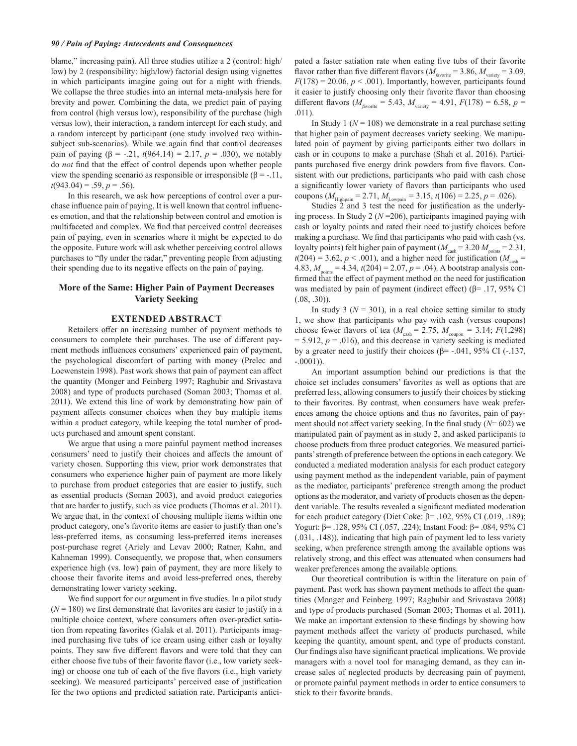blame," increasing pain). All three studies utilize a 2 (control: high/ low) by 2 (responsibility: high/low) factorial design using vignettes in which participants imagine going out for a night with friends. We collapse the three studies into an internal meta-analysis here for brevity and power. Combining the data, we predict pain of paying from control (high versus low), responsibility of the purchase (high versus low), their interaction, a random intercept for each study, and a random intercept by participant (one study involved two withinsubject sub-scenarios). While we again find that control decreases pain of paying  $(\beta = -.21, t(964.14) = 2.17, p = .030)$ , we notably do not find that the effect of control depends upon whether people view the spending scenario as responsible or irresponsible ( $\beta$  = -.11,  $t(943.04) = .59, p = .56$ .

In this research, we ask how perceptions of control over a purchase influence pain of paying. It is well known that control influences emotion, and that the relationship between control and emotion is multifaceted and complex. We find that perceived control decreases pain of paying, even in scenarios where it might be expected to do the opposite. Future work will ask whether perceiving control allows purchases to "fly under the radar," preventing people from adjusting their spending due to its negative effects on the pain of paying.

## More of the Same: Higher Pain of Payment Decreases **Variety Seeking**

## **EXTENDED ABSTRACT**

Retailers offer an increasing number of payment methods to consumers to complete their purchases. The use of different payment methods influences consumers' experienced pain of payment, the psychological discomfort of parting with money (Prelec and Loewenstein 1998). Past work shows that pain of payment can affect the quantity (Monger and Feinberg 1997; Raghubir and Srivastava 2008) and type of products purchased (Soman 2003; Thomas et al. 2011). We extend this line of work by demonstrating how pain of payment affects consumer choices when they buy multiple items within a product category, while keeping the total number of products purchased and amount spent constant.

We argue that using a more painful payment method increases consumers' need to justify their choices and affects the amount of variety chosen. Supporting this view, prior work demonstrates that consumers who experience higher pain of payment are more likely to purchase from product categories that are easier to justify, such as essential products (Soman 2003), and avoid product categories that are harder to justify, such as vice products (Thomas et al. 2011). We argue that, in the context of choosing multiple items within one product category, one's favorite items are easier to justify than one's less-preferred items, as consuming less-preferred items increases post-purchase regret (Ariely and Levav 2000; Ratner, Kahn, and Kahneman 1999). Consequently, we propose that, when consumers experience high (vs. low) pain of payment, they are more likely to choose their favorite items and avoid less-preferred ones, thereby demonstrating lower variety seeking.

We find support for our argument in five studies. In a pilot study  $(N = 180)$  we first demonstrate that favorites are easier to justify in a multiple choice context, where consumers often over-predict satiation from repeating favorites (Galak et al. 2011). Participants imagined purchasing five tubs of ice cream using either cash or loyalty points. They saw five different flavors and were told that they can either choose five tubs of their favorite flavor (i.e., low variety seeking) or choose one tub of each of the five flavors (*i.e.*, high variety seeking). We measured participants' perceived ease of justification for the two options and predicted satiation rate. Participants anticipated a faster satiation rate when eating five tubs of their favorite flavor rather than five different flavors ( $M_{\text{javoric}} = 3.86$ ,  $M_{\text{variety}} = 3.09$ ,  $F(178) = 20.06, p < .001$ ). Importantly, however, participants found it easier to justify choosing only their favorite flavor than choosing different flavors ( $M_{\text{favorite}} = 5.43$ ,  $M_{\text{variety}} = 4.91$ ,  $F(178) = 6.58$ ,  $p =$  $.011).$ 

In Study 1 ( $N = 108$ ) we demonstrate in a real purchase setting that higher pain of payment decreases variety seeking. We manipulated pain of payment by giving participants either two dollars in cash or in coupons to make a purchase (Shah et al. 2016). Participants purchased five energy drink powders from five flavors. Consistent with our predictions, participants who paid with cash chose a significantly lower variety of flavors than participants who used coupons ( $M_{\text{Highpain}} = 2.71$ ,  $M_{\text{Lowpain}} = 3.15$ ,  $t(106) = 2.25$ ,  $p = .026$ ).

Studies  $2$  and 3 test the need for justification as the underlying process. In Study 2 ( $N = 206$ ), participants imagined paying with cash or loyalty points and rated their need to justify choices before making a purchase. We find that participants who paid with cash (vs. loyalty points) felt higher pain of payment ( $M_{\text{cash}} = 3.20 M_{\text{points}} = 2.31$ ,  $t(204) = 3.62$ ,  $p < .001$ ), and a higher need for justification ( $M_{\text{c}ab}$  = 4.83,  $M_{\text{points}} = 4.34$ ,  $t(204) = 2.07$ ,  $p = .04$ ). A bootstrap analysis confirmed that the effect of payment method on the need for justification was mediated by pain of payment (indirect effect) ( $\beta$ = .17, 95% CI  $(.08, .30)$ ).

In study 3 ( $N = 301$ ), in a real choice setting similar to study 1, we show that participants who pay with cash (versus coupons) choose fewer flavors of tea ( $M_{\text{cash}}$  = 2.75,  $M_{\text{coupon}}$  = 3.14;  $F(1,298)$ = 5.912,  $p = .016$ ), and this decrease in variety seeking is mediated by a greater need to justify their choices ( $\beta$ = -.041, 95% CI (-.137,  $-.0001$ )).

An important assumption behind our predictions is that the choice set includes consumers' favorites as well as options that are preferred less, allowing consumers to justify their choices by sticking to their favorites. By contrast, when consumers have weak preferences among the choice options and thus no favorites, pain of payment should not affect variety seeking. In the final study ( $N = 602$ ) we manipulated pain of payment as in study 2, and asked participants to choose products from three product categories. We measured participants' strength of preference between the options in each category. We conducted a mediated moderation analysis for each product category using payment method as the independent variable, pain of payment as the mediator, participants' preference strength among the product options as the moderator, and variety of products chosen as the dependent variable. The results revealed a significant mediated moderation for each product category (Diet Coke:  $\beta$ = .102, 95% CI (.019, .189); Yogurt: β = .128, 95% CI (.057, .224); Instant Food: β = .084, 95% CI (.031, .148)), indicating that high pain of payment led to less variety seeking, when preference strength among the available options was relatively strong, and this effect was attenuated when consumers had weaker preferences among the available options.

Our theoretical contribution is within the literature on pain of payment. Past work has shown payment methods to affect the quantities (Monger and Feinberg 1997; Raghubir and Srivastava 2008) and type of products purchased (Soman 2003; Thomas et al. 2011). We make an important extension to these findings by showing how payment methods affect the variety of products purchased, while keeping the quantity, amount spent, and type of products constant. Our findings also have significant practical implications. We provide managers with a novel tool for managing demand, as they can increase sales of neglected products by decreasing pain of payment, or promote painful payment methods in order to entice consumers to stick to their favorite brands.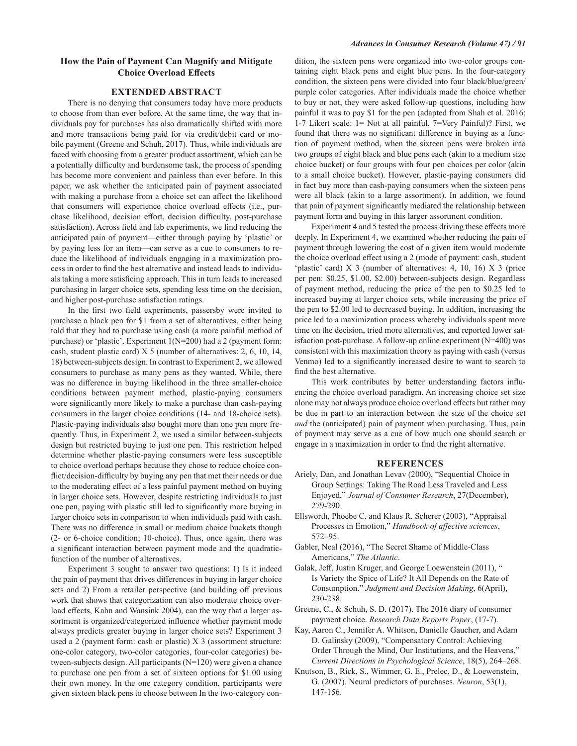## How the Pain of Payment Can Magnify and Mitigate **Choice Overload Effects**

## **EXTENDED ABSTRACT**

There is no denying that consumers today have more products to choose from than ever before. At the same time, the way that individuals pay for purchases has also dramatically shifted with more and more transactions being paid for via credit/debit card or mobile payment (Greene and Schuh, 2017). Thus, while individuals are faced with choosing from a greater product assortment, which can be a potentially difficulty and burdensome task, the process of spending has become more convenient and painless than ever before. In this paper, we ask whether the anticipated pain of payment associated with making a purchase from a choice set can affect the likelihood that consumers will experience choice overload effects (i.e., purchase likelihood, decision effort, decision difficulty, post-purchase satisfaction). Across field and lab experiments, we find reducing the anticipated pain of payment—either through paying by 'plastic' or by paying less for an item-can serve as a cue to consumers to reduce the likelihood of individuals engaging in a maximization process in order to find the best alternative and instead leads to individuals taking a more satisficing approach. This in turn leads to increased purchasing in larger choice sets, spending less time on the decision, and higher post-purchase satisfaction ratings.

In the first two field experiments, passersby were invited to purchase a black pen for \$1 from a set of alternatives, either being told that they had to purchase using cash (a more painful method of purchase) or 'plastic'. Experiment 1(N=200) had a 2 (payment form: cash, student plastic card) X 5 (number of alternatives: 2, 6, 10, 14, 18) between-subjects design. In contrast to Experiment 2, we allowed consumers to purchase as many pens as they wanted. While, there was no difference in buying likelihood in the three smaller-choice conditions between payment method, plastic-paying consumers were significantly more likely to make a purchase than cash-paying consumers in the larger choice conditions (14- and 18-choice sets). Plastic-paying individuals also bought more than one pen more frequently. Thus, in Experiment 2, we used a similar between-subjects design but restricted buying to just one pen. This restriction helped determine whether plastic-paying consumers were less susceptible to choice overload perhaps because they chose to reduce choice conflict/decision-difficulty by buying any pen that met their needs or due to the moderating effect of a less painful payment method on buying in larger choice sets. However, despite restricting individuals to just one pen, paying with plastic still led to significantly more buying in larger choice sets in comparison to when individuals paid with cash. There was no difference in small or medium choice buckets though (2- or 6-choice condition; 10-choice). Thus, once again, there was a significant interaction between payment mode and the quadraticfunction of the number of alternatives.

Experiment 3 sought to answer two questions: 1) Is it indeed the pain of payment that drives differences in buying in larger choice sets and 2) From a retailer perspective (and building off previous work that shows that categorization can also moderate choice overload effects, Kahn and Wansink 2004), can the way that a larger assortment is organized/categorized influence whether payment mode always predicts greater buying in larger choice sets? Experiment 3 used a 2 (payment form: cash or plastic) X 3 (assortment structure: one-color category, two-color categories, four-color categories) between-subjects design. All participants (N=120) were given a chance to purchase one pen from a set of sixteen options for \$1.00 using their own money. In the one category condition, participants were given sixteen black pens to choose between In the two-category condition, the sixteen pens were organized into two-color groups containing eight black pens and eight blue pens. In the four-category condition, the sixteen pens were divided into four black/blue/green/ purple color categories. After individuals made the choice whether to buy or not, they were asked follow-up questions, including how painful it was to pay \$1 for the pen (adapted from Shah et al. 2016; 1-7 Likert scale: 1= Not at all painful, 7=Very Painful)? First, we found that there was no significant difference in buying as a function of payment method, when the sixteen pens were broken into two groups of eight black and blue pens each (akin to a medium size choice bucket) or four groups with four pen choices per color (akin to a small choice bucket). However, plastic-paying consumers did in fact buy more than cash-paying consumers when the sixteen pens were all black (akin to a large assortment). In addition, we found that pain of payment significantly mediated the relationship between payment form and buying in this larger assortment condition.

Experiment 4 and 5 tested the process driving these effects more deeply. In Experiment 4, we examined whether reducing the pain of payment through lowering the cost of a given item would moderate the choice overload effect using a 2 (mode of payment: cash, student 'plastic' card)  $X$  3 (number of alternatives: 4, 10, 16)  $X$  3 (price per pen: \$0.25, \$1.00, \$2.00) between-subjects design. Regardless of payment method, reducing the price of the pen to \$0.25 led to increased buying at larger choice sets, while increasing the price of the pen to \$2.00 led to decreased buying. In addition, increasing the price led to a maximization process whereby individuals spent more time on the decision, tried more alternatives, and reported lower satis faction post-purchase. A follow-up online experiment  $(N=400)$  was consistent with this maximization theory as paying with cash (versus Venmo) led to a significantly increased desire to want to search to find the best alternative.

This work contributes by better understanding factors influencing the choice overload paradigm. An increasing choice set size alone may not always produce choice overload effects but rather may be due in part to an interaction between the size of the choice set and the (anticipated) pain of payment when purchasing. Thus, pain of payment may serve as a cue of how much one should search or engage in a maximization in order to find the right alternative.

#### **REFERENCES**

- Ariely, Dan, and Jonathan Levav (2000), "Sequential Choice in Group Settings: Taking The Road Less Traveled and Less Enjoyed," Journal of Consumer Research, 27(December), 279-290.
- Ellsworth, Phoebe C. and Klaus R. Scherer (2003), "Appraisal Processes in Emotion," Handbook of affective sciences,  $572 - 95$
- Gabler, Neal (2016), "The Secret Shame of Middle-Class Americans," The Atlantic.
- Galak, Jeff, Justin Kruger, and George Loewenstein (2011), " Is Variety the Spice of Life? It All Depends on the Rate of Consumption." Judgment and Decision Making, 6(April), 230-238.
- Greene, C., & Schuh, S. D. (2017). The 2016 diary of consumer payment choice. Research Data Reports Paper, (17-7).
- Kay, Aaron C., Jennifer A. Whitson, Danielle Gaucher, and Adam D. Galinsky (2009), "Compensatory Control: Achieving Order Through the Mind, Our Institutions, and the Heavens," Current Directions in Psychological Science, 18(5), 264–268.
- Knutson, B., Rick, S., Wimmer, G. E., Prelec, D., & Loewenstein, G. (2007). Neural predictors of purchases. Neuron, 53(1), 147-156.